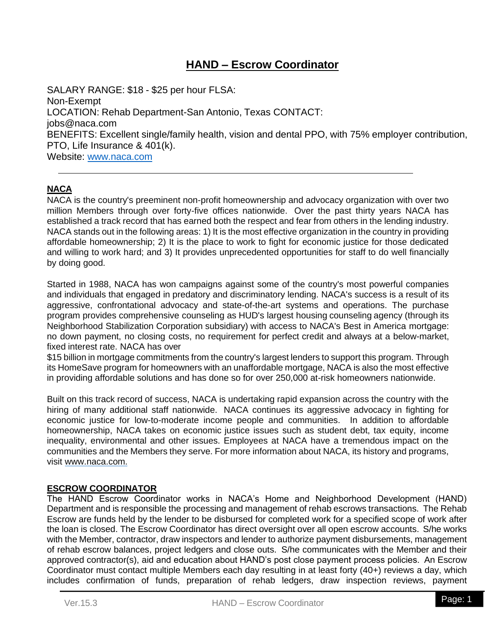# **HAND – Escrow Coordinator**

SALARY RANGE: \$18 - \$25 per hour FLSA: Non-Exempt LOCATION: Rehab Department-San Antonio, Texas CONTACT: [jobs@naca.com](mailto:jobs@naca.com) BENEFITS: Excellent single/family health, vision and dental PPO, with 75% employer contribution, PTO, Life Insurance & 401(k). Website: [www.naca.com](http://www.naca.com/)

# **NACA**

NACA is the country's preeminent non-profit homeownership and advocacy organization with over two million Members through over forty-five offices nationwide. Over the past thirty years NACA has established a track record that has earned both the respect and fear from others in the lending industry. NACA stands out in the following areas: 1) It is the most effective organization in the country in providing affordable homeownership; 2) It is the place to work to fight for economic justice for those dedicated and willing to work hard; and 3) It provides unprecedented opportunities for staff to do well financially by doing good.

Started in 1988, NACA has won campaigns against some of the country's most powerful companies and individuals that engaged in predatory and discriminatory lending. NACA's success is a result of its aggressive, confrontational advocacy and state-of-the-art systems and operations. The purchase program provides comprehensive counseling as HUD's largest housing counseling agency (through its Neighborhood Stabilization Corporation subsidiary) with access to NACA's Best in America mortgage: no down payment, no closing costs, no requirement for perfect credit and always at a below-market, fixed interest rate. NACA has over

\$15 billion in mortgage commitments from the country's largest lenders to support this program. Through its HomeSave program for homeowners with an unaffordable mortgage, NACA is also the most effective in providing affordable solutions and has done so for over 250,000 at-risk homeowners nationwide.

Built on this track record of success, NACA is undertaking rapid expansion across the country with the hiring of many additional staff nationwide. NACA continues its aggressive advocacy in fighting for economic justice for low-to-moderate income people and communities. In addition to affordable homeownership, NACA takes on economic justice issues such as student debt, tax equity, income inequality, environmental and other issues. Employees at NACA have a tremendous impact on the communities and the Members they serve. For more information about NACA, its history and programs, visit [www.naca.com.](http://www.naca.com/)

## **ESCROW COORDINATOR**

The HAND Escrow Coordinator works in NACA's Home and Neighborhood Development (HAND) Department and is responsible the processing and management of rehab escrows transactions. The Rehab Escrow are funds held by the lender to be disbursed for completed work for a specified scope of work after the loan is closed. The Escrow Coordinator has direct oversight over all open escrow accounts. S/he works with the Member, contractor, draw inspectors and lender to authorize payment disbursements, management of rehab escrow balances, project ledgers and close outs. S/he communicates with the Member and their approved contractor(s), aid and education about HAND's post close payment process policies. An Escrow Coordinator must contact multiple Members each day resulting in at least forty (40+) reviews a day, which includes confirmation of funds, preparation of rehab ledgers, draw inspection reviews, payment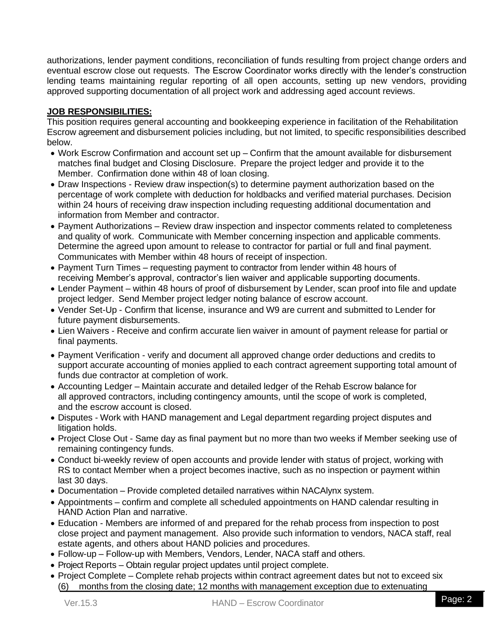authorizations, lender payment conditions, reconciliation of funds resulting from project change orders and eventual escrow close out requests. The Escrow Coordinator works directly with the lender's construction lending teams maintaining regular reporting of all open accounts, setting up new vendors, providing approved supporting documentation of all project work and addressing aged account reviews.

# **JOB RESPONSIBILITIES:**

This position requires general accounting and bookkeeping experience in facilitation of the Rehabilitation Escrow agreement and disbursement policies including, but not limited, to specific responsibilities described below.

- Work Escrow Confirmation and account set up Confirm that the amount available for disbursement matches final budget and Closing Disclosure. Prepare the project ledger and provide it to the Member. Confirmation done within 48 of loan closing.
- Draw Inspections Review draw inspection(s) to determine payment authorization based on the percentage of work complete with deduction for holdbacks and verified material purchases. Decision within 24 hours of receiving draw inspection including requesting additional documentation and information from Member and contractor.
- Payment Authorizations Review draw inspection and inspector comments related to completeness and quality of work. Communicate with Member concerning inspection and applicable comments. Determine the agreed upon amount to release to contractor for partial or full and final payment. Communicates with Member within 48 hours of receipt of inspection.
- Payment Turn Times requesting payment to contractor from lender within 48 hours of receiving Member's approval, contractor's lien waiver and applicable supporting documents.
- Lender Payment within 48 hours of proof of disbursement by Lender, scan proof into file and update project ledger. Send Member project ledger noting balance of escrow account.
- Vender Set-Up Confirm that license, insurance and W9 are current and submitted to Lender for future payment disbursements.
- Lien Waivers Receive and confirm accurate lien waiver in amount of payment release for partial or final payments.
- Payment Verification verify and document all approved change order deductions and credits to support accurate accounting of monies applied to each contract agreement supporting total amount of funds due contractor at completion of work.
- Accounting Ledger Maintain accurate and detailed ledger of the Rehab Escrow balance for all approved contractors, including contingency amounts, until the scope of work is completed, and the escrow account is closed.
- Disputes Work with HAND management and Legal department regarding project disputes and litigation holds.
- Project Close Out Same day as final payment but no more than two weeks if Member seeking use of remaining contingency funds.
- Conduct bi-weekly review of open accounts and provide lender with status of project, working with RS to contact Member when a project becomes inactive, such as no inspection or payment within last 30 days.
- Documentation Provide completed detailed narratives within NACAlynx system.
- Appointments confirm and complete all scheduled appointments on HAND calendar resulting in HAND Action Plan and narrative.
- Education Members are informed of and prepared for the rehab process from inspection to post close project and payment management. Also provide such information to vendors, NACA staff, real estate agents, and others about HAND policies and procedures.
- Follow-up Follow-up with Members, Vendors, Lender, NACA staff and others.
- Project Reports Obtain regular project updates until project complete.
- Project Complete Complete rehab projects within contract agreement dates but not to exceed six (6) months from the closing date; 12 months with management exception due to extenuating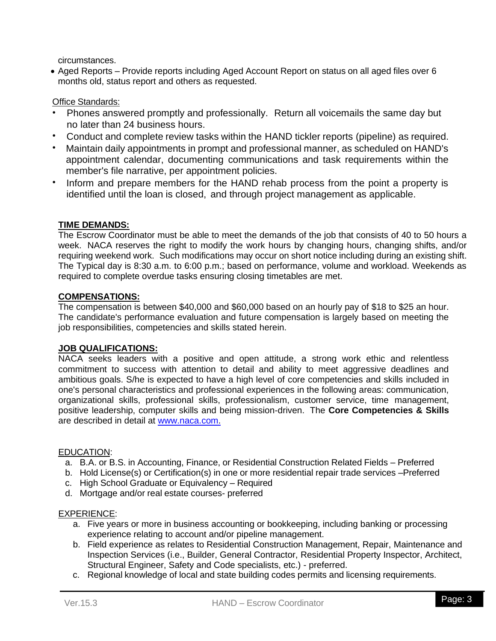circumstances.

• Aged Reports – Provide reports including Aged Account Report on status on all aged files over 6 months old, status report and others as requested.

# Office Standards:

- Phones answered promptly and professionally. Return all voicemails the same day but no later than 24 business hours.
- Conduct and complete review tasks within the HAND tickler reports (pipeline) as required.
- Maintain daily appointments in prompt and professional manner, as scheduled on HAND's appointment calendar, documenting communications and task requirements within the member's file narrative, per appointment policies.
- Inform and prepare members for the HAND rehab process from the point a property is identified until the loan is closed, and through project management as applicable.

## **TIME DEMANDS:**

The Escrow Coordinator must be able to meet the demands of the job that consists of 40 to 50 hours a week. NACA reserves the right to modify the work hours by changing hours, changing shifts, and/or requiring weekend work. Such modifications may occur on short notice including during an existing shift. The Typical day is 8:30 a.m. to 6:00 p.m.; based on performance, volume and workload. Weekends as required to complete overdue tasks ensuring closing timetables are met.

## **COMPENSATIONS:**

The compensation is between \$40,000 and \$60,000 based on an hourly pay of \$18 to \$25 an hour. The candidate's performance evaluation and future compensation is largely based on meeting the job responsibilities, competencies and skills stated herein.

## **JOB QUALIFICATIONS:**

NACA seeks leaders with a positive and open attitude, a strong work ethic and relentless commitment to success with attention to detail and ability to meet aggressive deadlines and ambitious goals. S/he is expected to have a high level of core competencies and skills included in one's personal characteristics and professional experiences in the following areas: communication, organizational skills, professional skills, professionalism, customer service, time management, positive leadership, computer skills and being mission-driven. The **Core Competencies & Skills**  are described in detail at [www.naca.com.](http://www.naca.com/)

## EDUCATION:

- a. B.A. or B.S. in Accounting, Finance, or Residential Construction Related Fields Preferred
- b. Hold License(s) or Certification(s) in one or more residential repair trade services –Preferred
- c. High School Graduate or Equivalency Required
- d. Mortgage and/or real estate courses- preferred

## EXPERIENCE:

- a. Five years or more in business accounting or bookkeeping, including banking or processing experience relating to account and/or pipeline management.
- b. Field experience as relates to Residential Construction Management, Repair, Maintenance and Inspection Services (i.e., Builder, General Contractor, Residential Property Inspector, Architect, Structural Engineer, Safety and Code specialists, etc.) - preferred.
- c. Regional knowledge of local and state building codes permits and licensing requirements.